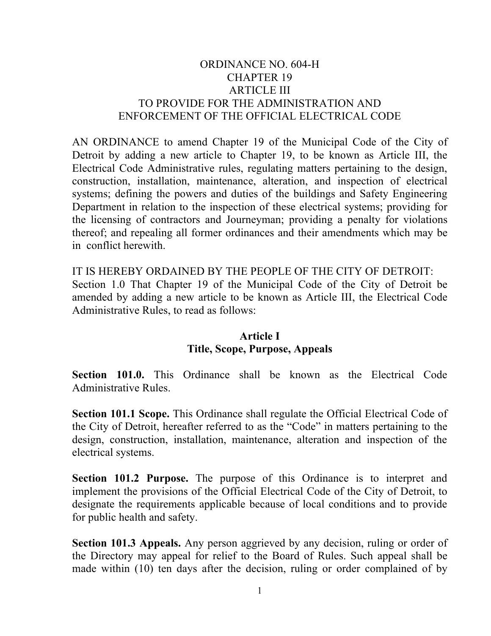### ORDINANCE NO. 604-H CHAPTER 19 ARTICLE III TO PROVIDE FOR THE ADMINISTRATION AND ENFORCEMENT OF THE OFFICIAL ELECTRICAL CODE

AN ORDINANCE to amend Chapter 19 of the Municipal Code of the City of Detroit by adding a new article to Chapter 19, to be known as Article III, the Electrical Code Administrative rules, regulating matters pertaining to the design, construction, installation, maintenance, alteration, and inspection of electrical systems; defining the powers and duties of the buildings and Safety Engineering Department in relation to the inspection of these electrical systems; providing for the licensing of contractors and Journeyman; providing a penalty for violations thereof; and repealing all former ordinances and their amendments which may be in conflict herewith.

IT IS HEREBY ORDAINED BY THE PEOPLE OF THE CITY OF DETROIT: Section 1.0 That Chapter 19 of the Municipal Code of the City of Detroit be amended by adding a new article to be known as Article III, the Electrical Code Administrative Rules, to read as follows:

#### **Article I Title, Scope, Purpose, Appeals**

**Section 101.0.** This Ordinance shall be known as the Electrical Code Administrative Rules.

**Section 101.1 Scope.** This Ordinance shall regulate the Official Electrical Code of the City of Detroit, hereafter referred to as the "Code" in matters pertaining to the design, construction, installation, maintenance, alteration and inspection of the electrical systems.

**Section 101.2 Purpose.** The purpose of this Ordinance is to interpret and implement the provisions of the Official Electrical Code of the City of Detroit, to designate the requirements applicable because of local conditions and to provide for public health and safety.

**Section 101.3 Appeals.** Any person aggrieved by any decision, ruling or order of the Directory may appeal for relief to the Board of Rules. Such appeal shall be made within (10) ten days after the decision, ruling or order complained of by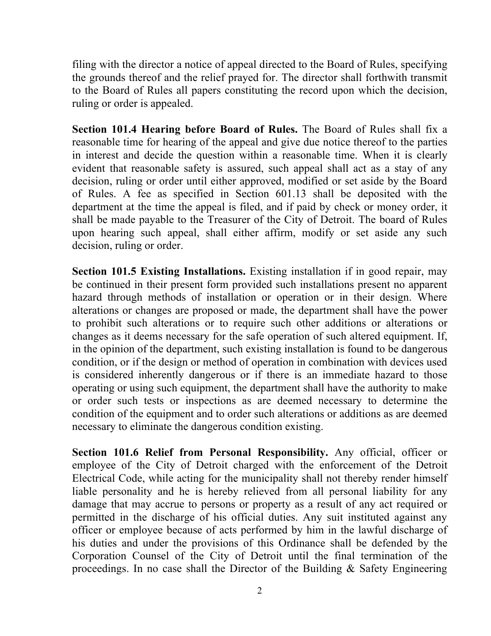filing with the director a notice of appeal directed to the Board of Rules, specifying the grounds thereof and the relief prayed for. The director shall forthwith transmit to the Board of Rules all papers constituting the record upon which the decision, ruling or order is appealed.

**Section 101.4 Hearing before Board of Rules.** The Board of Rules shall fix a reasonable time for hearing of the appeal and give due notice thereof to the parties in interest and decide the question within a reasonable time. When it is clearly evident that reasonable safety is assured, such appeal shall act as a stay of any decision, ruling or order until either approved, modified or set aside by the Board of Rules. A fee as specified in Section 601.13 shall be deposited with the department at the time the appeal is filed, and if paid by check or money order, it shall be made payable to the Treasurer of the City of Detroit. The board of Rules upon hearing such appeal, shall either affirm, modify or set aside any such decision, ruling or order.

**Section 101.5 Existing Installations.** Existing installation if in good repair, may be continued in their present form provided such installations present no apparent hazard through methods of installation or operation or in their design. Where alterations or changes are proposed or made, the department shall have the power to prohibit such alterations or to require such other additions or alterations or changes as it deems necessary for the safe operation of such altered equipment. If, in the opinion of the department, such existing installation is found to be dangerous condition, or if the design or method of operation in combination with devices used is considered inherently dangerous or if there is an immediate hazard to those operating or using such equipment, the department shall have the authority to make or order such tests or inspections as are deemed necessary to determine the condition of the equipment and to order such alterations or additions as are deemed necessary to eliminate the dangerous condition existing.

**Section 101.6 Relief from Personal Responsibility.** Any official, officer or employee of the City of Detroit charged with the enforcement of the Detroit Electrical Code, while acting for the municipality shall not thereby render himself liable personality and he is hereby relieved from all personal liability for any damage that may accrue to persons or property as a result of any act required or permitted in the discharge of his official duties. Any suit instituted against any officer or employee because of acts performed by him in the lawful discharge of his duties and under the provisions of this Ordinance shall be defended by the Corporation Counsel of the City of Detroit until the final termination of the proceedings. In no case shall the Director of the Building  $\&$  Safety Engineering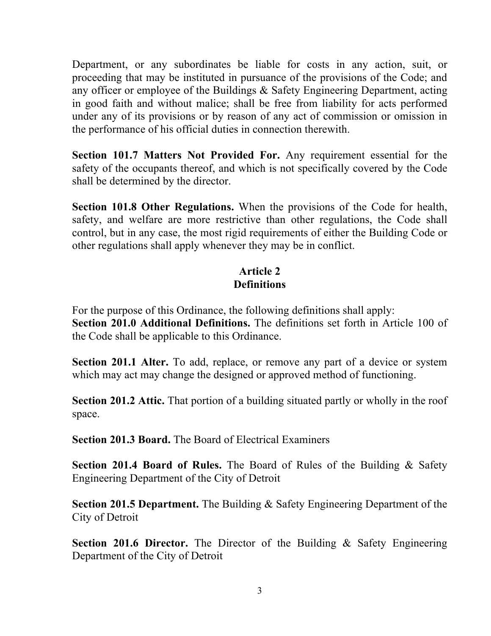Department, or any subordinates be liable for costs in any action, suit, or proceeding that may be instituted in pursuance of the provisions of the Code; and any officer or employee of the Buildings & Safety Engineering Department, acting in good faith and without malice; shall be free from liability for acts performed under any of its provisions or by reason of any act of commission or omission in the performance of his official duties in connection therewith.

**Section 101.7 Matters Not Provided For.** Any requirement essential for the safety of the occupants thereof, and which is not specifically covered by the Code shall be determined by the director.

**Section 101.8 Other Regulations.** When the provisions of the Code for health, safety, and welfare are more restrictive than other regulations, the Code shall control, but in any case, the most rigid requirements of either the Building Code or other regulations shall apply whenever they may be in conflict.

# **Article 2 Definitions**

For the purpose of this Ordinance, the following definitions shall apply: **Section 201.0 Additional Definitions.** The definitions set forth in Article 100 of the Code shall be applicable to this Ordinance.

**Section 201.1 Alter.** To add, replace, or remove any part of a device or system which may act may change the designed or approved method of functioning.

**Section 201.2 Attic.** That portion of a building situated partly or wholly in the roof space.

**Section 201.3 Board.** The Board of Electrical Examiners

**Section 201.4 Board of Rules.** The Board of Rules of the Building & Safety Engineering Department of the City of Detroit

**Section 201.5 Department.** The Building & Safety Engineering Department of the City of Detroit

**Section 201.6 Director.** The Director of the Building & Safety Engineering Department of the City of Detroit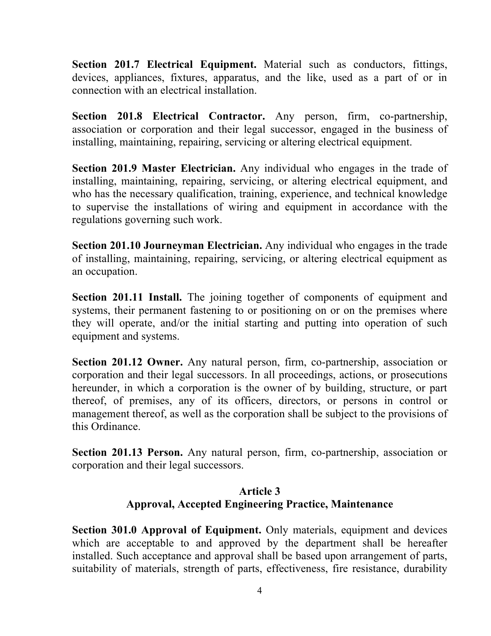**Section 201.7 Electrical Equipment.** Material such as conductors, fittings, devices, appliances, fixtures, apparatus, and the like, used as a part of or in connection with an electrical installation.

**Section 201.8 Electrical Contractor.** Any person, firm, co-partnership, association or corporation and their legal successor, engaged in the business of installing, maintaining, repairing, servicing or altering electrical equipment.

**Section 201.9 Master Electrician.** Any individual who engages in the trade of installing, maintaining, repairing, servicing, or altering electrical equipment, and who has the necessary qualification, training, experience, and technical knowledge to supervise the installations of wiring and equipment in accordance with the regulations governing such work.

**Section 201.10 Journeyman Electrician.** Any individual who engages in the trade of installing, maintaining, repairing, servicing, or altering electrical equipment as an occupation.

**Section 201.11 Install.** The joining together of components of equipment and systems, their permanent fastening to or positioning on or on the premises where they will operate, and/or the initial starting and putting into operation of such equipment and systems.

**Section 201.12 Owner.** Any natural person, firm, co-partnership, association or corporation and their legal successors. In all proceedings, actions, or prosecutions hereunder, in which a corporation is the owner of by building, structure, or part thereof, of premises, any of its officers, directors, or persons in control or management thereof, as well as the corporation shall be subject to the provisions of this Ordinance.

**Section 201.13 Person.** Any natural person, firm, co-partnership, association or corporation and their legal successors.

# **Article 3 Approval, Accepted Engineering Practice, Maintenance**

**Section 301.0 Approval of Equipment.** Only materials, equipment and devices which are acceptable to and approved by the department shall be hereafter installed. Such acceptance and approval shall be based upon arrangement of parts, suitability of materials, strength of parts, effectiveness, fire resistance, durability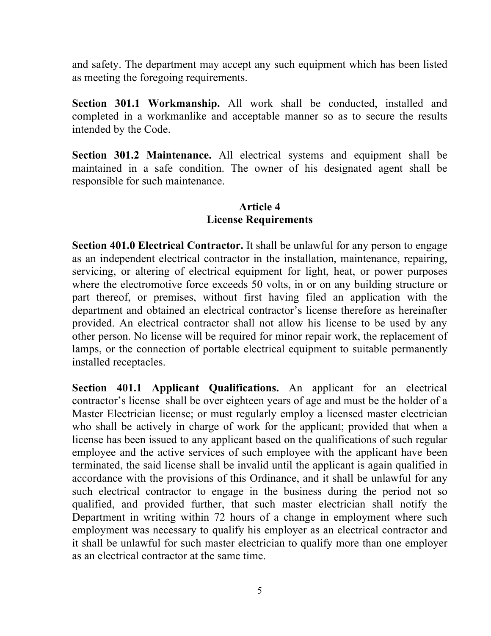and safety. The department may accept any such equipment which has been listed as meeting the foregoing requirements.

**Section 301.1 Workmanship.** All work shall be conducted, installed and completed in a workmanlike and acceptable manner so as to secure the results intended by the Code.

**Section 301.2 Maintenance.** All electrical systems and equipment shall be maintained in a safe condition. The owner of his designated agent shall be responsible for such maintenance.

# **Article 4 License Requirements**

**Section 401.0 Electrical Contractor.** It shall be unlawful for any person to engage as an independent electrical contractor in the installation, maintenance, repairing, servicing, or altering of electrical equipment for light, heat, or power purposes where the electromotive force exceeds 50 volts, in or on any building structure or part thereof, or premises, without first having filed an application with the department and obtained an electrical contractor's license therefore as hereinafter provided. An electrical contractor shall not allow his license to be used by any other person. No license will be required for minor repair work, the replacement of lamps, or the connection of portable electrical equipment to suitable permanently installed receptacles.

**Section 401.1 Applicant Qualifications.** An applicant for an electrical contractor's license shall be over eighteen years of age and must be the holder of a Master Electrician license; or must regularly employ a licensed master electrician who shall be actively in charge of work for the applicant; provided that when a license has been issued to any applicant based on the qualifications of such regular employee and the active services of such employee with the applicant have been terminated, the said license shall be invalid until the applicant is again qualified in accordance with the provisions of this Ordinance, and it shall be unlawful for any such electrical contractor to engage in the business during the period not so qualified, and provided further, that such master electrician shall notify the Department in writing within 72 hours of a change in employment where such employment was necessary to qualify his employer as an electrical contractor and it shall be unlawful for such master electrician to qualify more than one employer as an electrical contractor at the same time.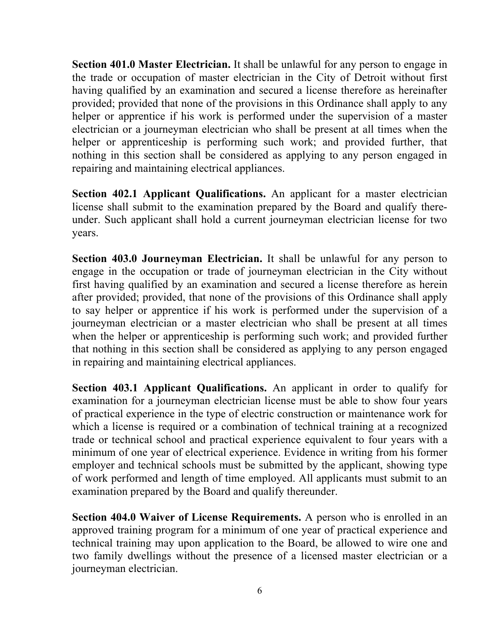**Section 401.0 Master Electrician.** It shall be unlawful for any person to engage in the trade or occupation of master electrician in the City of Detroit without first having qualified by an examination and secured a license therefore as hereinafter provided; provided that none of the provisions in this Ordinance shall apply to any helper or apprentice if his work is performed under the supervision of a master electrician or a journeyman electrician who shall be present at all times when the helper or apprenticeship is performing such work; and provided further, that nothing in this section shall be considered as applying to any person engaged in repairing and maintaining electrical appliances.

**Section 402.1 Applicant Qualifications.** An applicant for a master electrician license shall submit to the examination prepared by the Board and qualify thereunder. Such applicant shall hold a current journeyman electrician license for two years.

**Section 403.0 Journeyman Electrician.** It shall be unlawful for any person to engage in the occupation or trade of journeyman electrician in the City without first having qualified by an examination and secured a license therefore as herein after provided; provided, that none of the provisions of this Ordinance shall apply to say helper or apprentice if his work is performed under the supervision of a journeyman electrician or a master electrician who shall be present at all times when the helper or apprenticeship is performing such work; and provided further that nothing in this section shall be considered as applying to any person engaged in repairing and maintaining electrical appliances.

**Section 403.1 Applicant Qualifications.** An applicant in order to qualify for examination for a journeyman electrician license must be able to show four years of practical experience in the type of electric construction or maintenance work for which a license is required or a combination of technical training at a recognized trade or technical school and practical experience equivalent to four years with a minimum of one year of electrical experience. Evidence in writing from his former employer and technical schools must be submitted by the applicant, showing type of work performed and length of time employed. All applicants must submit to an examination prepared by the Board and qualify thereunder.

**Section 404.0 Waiver of License Requirements.** A person who is enrolled in an approved training program for a minimum of one year of practical experience and technical training may upon application to the Board, be allowed to wire one and two family dwellings without the presence of a licensed master electrician or a journeyman electrician.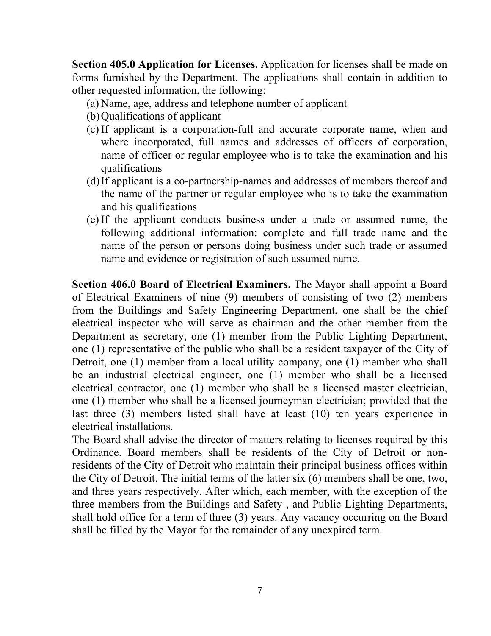**Section 405.0 Application for Licenses.** Application for licenses shall be made on forms furnished by the Department. The applications shall contain in addition to other requested information, the following:

- (a) Name, age, address and telephone number of applicant
- (b)Qualifications of applicant
- (c) If applicant is a corporation-full and accurate corporate name, when and where incorporated, full names and addresses of officers of corporation, name of officer or regular employee who is to take the examination and his qualifications
- (d)If applicant is a co-partnership-names and addresses of members thereof and the name of the partner or regular employee who is to take the examination and his qualifications
- (e) If the applicant conducts business under a trade or assumed name, the following additional information: complete and full trade name and the name of the person or persons doing business under such trade or assumed name and evidence or registration of such assumed name.

**Section 406.0 Board of Electrical Examiners.** The Mayor shall appoint a Board of Electrical Examiners of nine (9) members of consisting of two (2) members from the Buildings and Safety Engineering Department, one shall be the chief electrical inspector who will serve as chairman and the other member from the Department as secretary, one (1) member from the Public Lighting Department, one (1) representative of the public who shall be a resident taxpayer of the City of Detroit, one (1) member from a local utility company, one (1) member who shall be an industrial electrical engineer, one (1) member who shall be a licensed electrical contractor, one (1) member who shall be a licensed master electrician, one (1) member who shall be a licensed journeyman electrician; provided that the last three (3) members listed shall have at least (10) ten years experience in electrical installations.

The Board shall advise the director of matters relating to licenses required by this Ordinance. Board members shall be residents of the City of Detroit or nonresidents of the City of Detroit who maintain their principal business offices within the City of Detroit. The initial terms of the latter six (6) members shall be one, two, and three years respectively. After which, each member, with the exception of the three members from the Buildings and Safety , and Public Lighting Departments, shall hold office for a term of three (3) years. Any vacancy occurring on the Board shall be filled by the Mayor for the remainder of any unexpired term.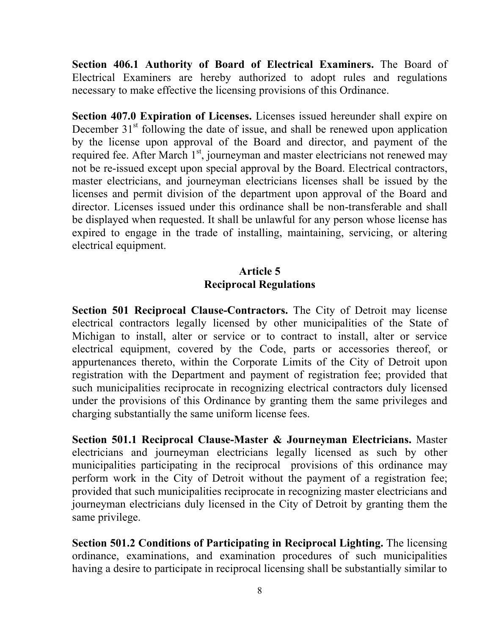**Section 406.1 Authority of Board of Electrical Examiners.** The Board of Electrical Examiners are hereby authorized to adopt rules and regulations necessary to make effective the licensing provisions of this Ordinance.

**Section 407.0 Expiration of Licenses.** Licenses issued hereunder shall expire on December  $31<sup>st</sup>$  following the date of issue, and shall be renewed upon application by the license upon approval of the Board and director, and payment of the required fee. After March  $1<sup>st</sup>$ , journeyman and master electricians not renewed may not be re-issued except upon special approval by the Board. Electrical contractors, master electricians, and journeyman electricians licenses shall be issued by the licenses and permit division of the department upon approval of the Board and director. Licenses issued under this ordinance shall be non-transferable and shall be displayed when requested. It shall be unlawful for any person whose license has expired to engage in the trade of installing, maintaining, servicing, or altering electrical equipment.

### **Article 5 Reciprocal Regulations**

**Section 501 Reciprocal Clause-Contractors.** The City of Detroit may license electrical contractors legally licensed by other municipalities of the State of Michigan to install, alter or service or to contract to install, alter or service electrical equipment, covered by the Code, parts or accessories thereof, or appurtenances thereto, within the Corporate Limits of the City of Detroit upon registration with the Department and payment of registration fee; provided that such municipalities reciprocate in recognizing electrical contractors duly licensed under the provisions of this Ordinance by granting them the same privileges and charging substantially the same uniform license fees.

**Section 501.1 Reciprocal Clause-Master & Journeyman Electricians.** Master electricians and journeyman electricians legally licensed as such by other municipalities participating in the reciprocal provisions of this ordinance may perform work in the City of Detroit without the payment of a registration fee; provided that such municipalities reciprocate in recognizing master electricians and journeyman electricians duly licensed in the City of Detroit by granting them the same privilege.

**Section 501.2 Conditions of Participating in Reciprocal Lighting.** The licensing ordinance, examinations, and examination procedures of such municipalities having a desire to participate in reciprocal licensing shall be substantially similar to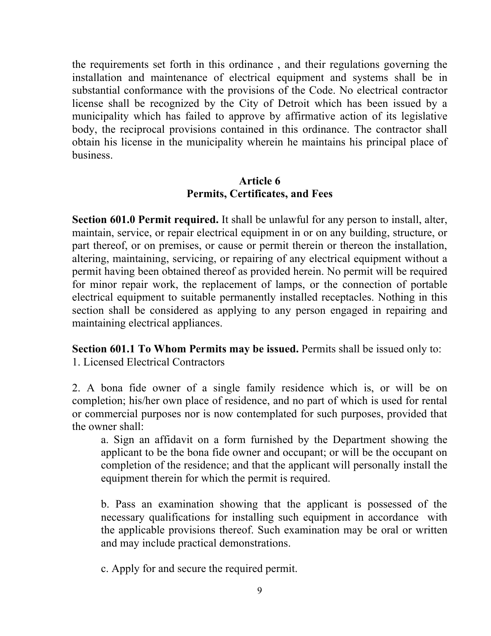the requirements set forth in this ordinance , and their regulations governing the installation and maintenance of electrical equipment and systems shall be in substantial conformance with the provisions of the Code. No electrical contractor license shall be recognized by the City of Detroit which has been issued by a municipality which has failed to approve by affirmative action of its legislative body, the reciprocal provisions contained in this ordinance. The contractor shall obtain his license in the municipality wherein he maintains his principal place of business.

#### **Article 6 Permits, Certificates, and Fees**

**Section 601.0 Permit required.** It shall be unlawful for any person to install, alter, maintain, service, or repair electrical equipment in or on any building, structure, or part thereof, or on premises, or cause or permit therein or thereon the installation, altering, maintaining, servicing, or repairing of any electrical equipment without a permit having been obtained thereof as provided herein. No permit will be required for minor repair work, the replacement of lamps, or the connection of portable electrical equipment to suitable permanently installed receptacles. Nothing in this section shall be considered as applying to any person engaged in repairing and maintaining electrical appliances.

**Section 601.1 To Whom Permits may be issued.** Permits shall be issued only to: 1. Licensed Electrical Contractors

2. A bona fide owner of a single family residence which is, or will be on completion; his/her own place of residence, and no part of which is used for rental or commercial purposes nor is now contemplated for such purposes, provided that the owner shall:

a. Sign an affidavit on a form furnished by the Department showing the applicant to be the bona fide owner and occupant; or will be the occupant on completion of the residence; and that the applicant will personally install the equipment therein for which the permit is required.

b. Pass an examination showing that the applicant is possessed of the necessary qualifications for installing such equipment in accordance with the applicable provisions thereof. Such examination may be oral or written and may include practical demonstrations.

c. Apply for and secure the required permit.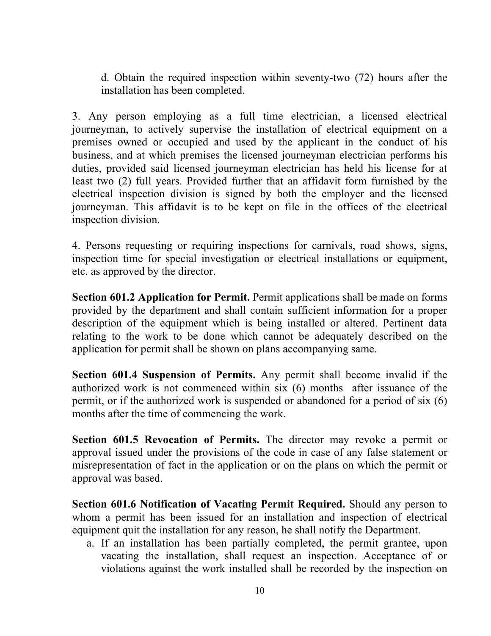d. Obtain the required inspection within seventy-two (72) hours after the installation has been completed.

3. Any person employing as a full time electrician, a licensed electrical journeyman, to actively supervise the installation of electrical equipment on a premises owned or occupied and used by the applicant in the conduct of his business, and at which premises the licensed journeyman electrician performs his duties, provided said licensed journeyman electrician has held his license for at least two (2) full years. Provided further that an affidavit form furnished by the electrical inspection division is signed by both the employer and the licensed journeyman. This affidavit is to be kept on file in the offices of the electrical inspection division.

4. Persons requesting or requiring inspections for carnivals, road shows, signs, inspection time for special investigation or electrical installations or equipment, etc. as approved by the director.

**Section 601.2 Application for Permit.** Permit applications shall be made on forms provided by the department and shall contain sufficient information for a proper description of the equipment which is being installed or altered. Pertinent data relating to the work to be done which cannot be adequately described on the application for permit shall be shown on plans accompanying same.

**Section 601.4 Suspension of Permits.** Any permit shall become invalid if the authorized work is not commenced within six (6) months after issuance of the permit, or if the authorized work is suspended or abandoned for a period of six (6) months after the time of commencing the work.

**Section 601.5 Revocation of Permits.** The director may revoke a permit or approval issued under the provisions of the code in case of any false statement or misrepresentation of fact in the application or on the plans on which the permit or approval was based.

**Section 601.6 Notification of Vacating Permit Required.** Should any person to whom a permit has been issued for an installation and inspection of electrical equipment quit the installation for any reason, he shall notify the Department.

a. If an installation has been partially completed, the permit grantee, upon vacating the installation, shall request an inspection. Acceptance of or violations against the work installed shall be recorded by the inspection on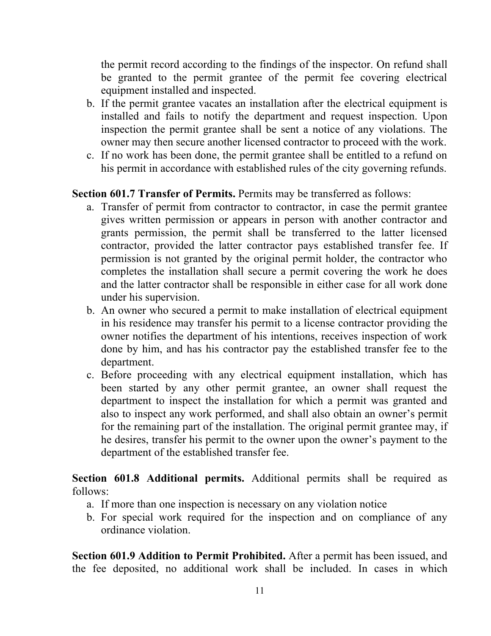the permit record according to the findings of the inspector. On refund shall be granted to the permit grantee of the permit fee covering electrical equipment installed and inspected.

- b. If the permit grantee vacates an installation after the electrical equipment is installed and fails to notify the department and request inspection. Upon inspection the permit grantee shall be sent a notice of any violations. The owner may then secure another licensed contractor to proceed with the work.
- c. If no work has been done, the permit grantee shall be entitled to a refund on his permit in accordance with established rules of the city governing refunds.

# **Section 601.7 Transfer of Permits.** Permits may be transferred as follows:

- a. Transfer of permit from contractor to contractor, in case the permit grantee gives written permission or appears in person with another contractor and grants permission, the permit shall be transferred to the latter licensed contractor, provided the latter contractor pays established transfer fee. If permission is not granted by the original permit holder, the contractor who completes the installation shall secure a permit covering the work he does and the latter contractor shall be responsible in either case for all work done under his supervision.
- b. An owner who secured a permit to make installation of electrical equipment in his residence may transfer his permit to a license contractor providing the owner notifies the department of his intentions, receives inspection of work done by him, and has his contractor pay the established transfer fee to the department.
- c. Before proceeding with any electrical equipment installation, which has been started by any other permit grantee, an owner shall request the department to inspect the installation for which a permit was granted and also to inspect any work performed, and shall also obtain an owner's permit for the remaining part of the installation. The original permit grantee may, if he desires, transfer his permit to the owner upon the owner's payment to the department of the established transfer fee.

**Section 601.8 Additional permits.** Additional permits shall be required as follows:

- a. If more than one inspection is necessary on any violation notice
- b. For special work required for the inspection and on compliance of any ordinance violation.

**Section 601.9 Addition to Permit Prohibited.** After a permit has been issued, and the fee deposited, no additional work shall be included. In cases in which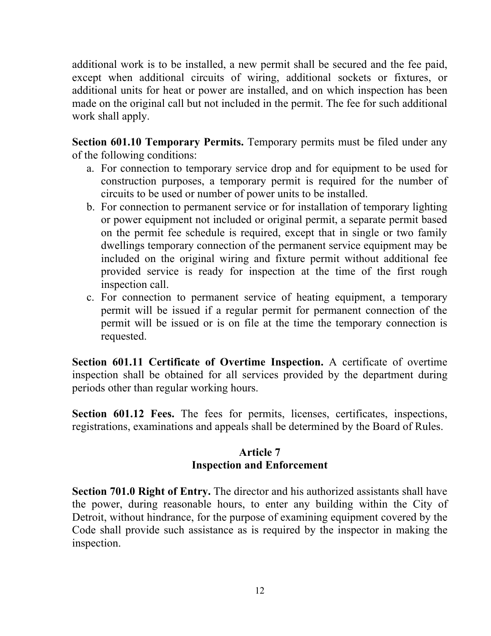additional work is to be installed, a new permit shall be secured and the fee paid, except when additional circuits of wiring, additional sockets or fixtures, or additional units for heat or power are installed, and on which inspection has been made on the original call but not included in the permit. The fee for such additional work shall apply.

**Section 601.10 Temporary Permits.** Temporary permits must be filed under any of the following conditions:

- a. For connection to temporary service drop and for equipment to be used for construction purposes, a temporary permit is required for the number of circuits to be used or number of power units to be installed.
- b. For connection to permanent service or for installation of temporary lighting or power equipment not included or original permit, a separate permit based on the permit fee schedule is required, except that in single or two family dwellings temporary connection of the permanent service equipment may be included on the original wiring and fixture permit without additional fee provided service is ready for inspection at the time of the first rough inspection call.
- c. For connection to permanent service of heating equipment, a temporary permit will be issued if a regular permit for permanent connection of the permit will be issued or is on file at the time the temporary connection is requested.

**Section 601.11 Certificate of Overtime Inspection.** A certificate of overtime inspection shall be obtained for all services provided by the department during periods other than regular working hours.

**Section 601.12 Fees.** The fees for permits, licenses, certificates, inspections, registrations, examinations and appeals shall be determined by the Board of Rules.

# **Article 7 Inspection and Enforcement**

**Section 701.0 Right of Entry.** The director and his authorized assistants shall have the power, during reasonable hours, to enter any building within the City of Detroit, without hindrance, for the purpose of examining equipment covered by the Code shall provide such assistance as is required by the inspector in making the inspection.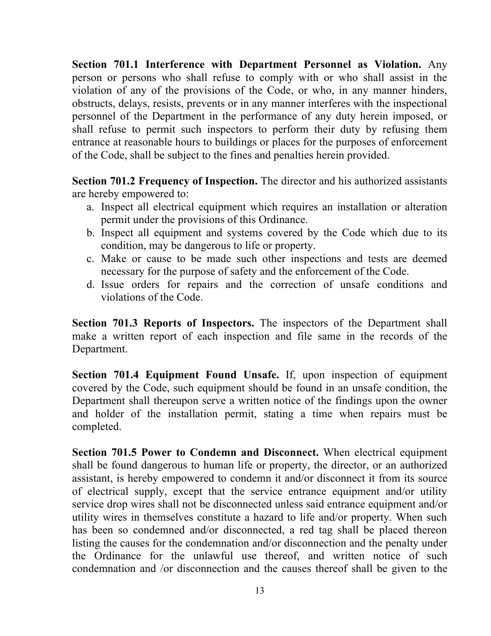**Section 701.1 Interference with Department Personnel as Violation.** Any person or persons who shall refuse to comply with or who shall assist in the violation of any of the provisions of the Code, or who, in any manner hinders, obstructs, delays, resists, prevents or in any manner interferes with the inspectional personnel of the Department in the performance of any duty herein imposed, or shall refuse to permit such inspectors to perform their duty by refusing them entrance at reasonable hours to buildings or places for the purposes of enforcement of the Code, shall be subject to the fines and penalties herein provided.

**Section 701.2 Frequency of Inspection.** The director and his authorized assistants are hereby empowered to:

- a. Inspect all electrical equipment which requires an installation or alteration permit under the provisions of this Ordinance.
- b. Inspect all equipment and systems covered by the Code which due to its condition, may be dangerous to life or property.
- c. Make or cause to be made such other inspections and tests are deemed necessary for the purpose of safety and the enforcement of the Code.
- d. Issue orders for repairs and the correction of unsafe conditions and violations of the Code.

**Section 701.3 Reports of Inspectors.** The inspectors of the Department shall make a written report of each inspection and file same in the records of the Department.

**Section 701.4 Equipment Found Unsafe.** If, upon inspection of equipment covered by the Code, such equipment should be found in an unsafe condition, the Department shall thereupon serve a written notice of the findings upon the owner and holder of the installation permit, stating a time when repairs must be completed.

**Section 701.5 Power to Condemn and Disconnect.** When electrical equipment shall be found dangerous to human life or property, the director, or an authorized assistant, is hereby empowered to condemn it and/or disconnect it from its source of electrical supply, except that the service entrance equipment and/or utility service drop wires shall not be disconnected unless said entrance equipment and/or utility wires in themselves constitute a hazard to life and/or property. When such has been so condemned and/or disconnected, a red tag shall be placed thereon listing the causes for the condemnation and/or disconnection and the penalty under the Ordinance for the unlawful use thereof, and written notice of such condemnation and /or disconnection and the causes thereof shall be given to the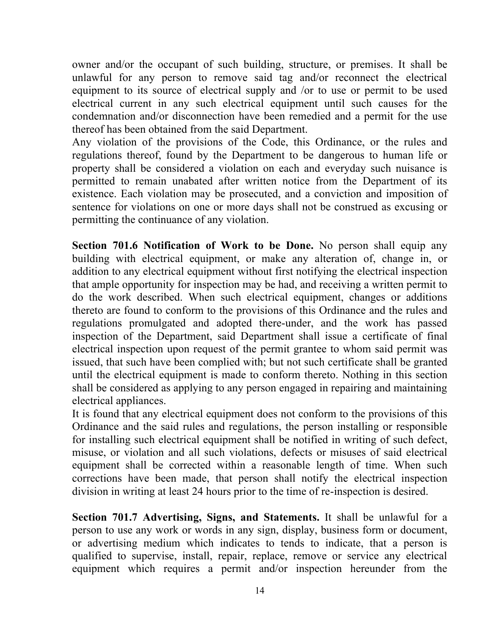owner and/or the occupant of such building, structure, or premises. It shall be unlawful for any person to remove said tag and/or reconnect the electrical equipment to its source of electrical supply and /or to use or permit to be used electrical current in any such electrical equipment until such causes for the condemnation and/or disconnection have been remedied and a permit for the use thereof has been obtained from the said Department.

Any violation of the provisions of the Code, this Ordinance, or the rules and regulations thereof, found by the Department to be dangerous to human life or property shall be considered a violation on each and everyday such nuisance is permitted to remain unabated after written notice from the Department of its existence. Each violation may be prosecuted, and a conviction and imposition of sentence for violations on one or more days shall not be construed as excusing or permitting the continuance of any violation.

**Section 701.6 Notification of Work to be Done.** No person shall equip any building with electrical equipment, or make any alteration of, change in, or addition to any electrical equipment without first notifying the electrical inspection that ample opportunity for inspection may be had, and receiving a written permit to do the work described. When such electrical equipment, changes or additions thereto are found to conform to the provisions of this Ordinance and the rules and regulations promulgated and adopted there-under, and the work has passed inspection of the Department, said Department shall issue a certificate of final electrical inspection upon request of the permit grantee to whom said permit was issued, that such have been complied with; but not such certificate shall be granted until the electrical equipment is made to conform thereto. Nothing in this section shall be considered as applying to any person engaged in repairing and maintaining electrical appliances.

It is found that any electrical equipment does not conform to the provisions of this Ordinance and the said rules and regulations, the person installing or responsible for installing such electrical equipment shall be notified in writing of such defect, misuse, or violation and all such violations, defects or misuses of said electrical equipment shall be corrected within a reasonable length of time. When such corrections have been made, that person shall notify the electrical inspection division in writing at least 24 hours prior to the time of re-inspection is desired.

**Section 701.7 Advertising, Signs, and Statements.** It shall be unlawful for a person to use any work or words in any sign, display, business form or document, or advertising medium which indicates to tends to indicate, that a person is qualified to supervise, install, repair, replace, remove or service any electrical equipment which requires a permit and/or inspection hereunder from the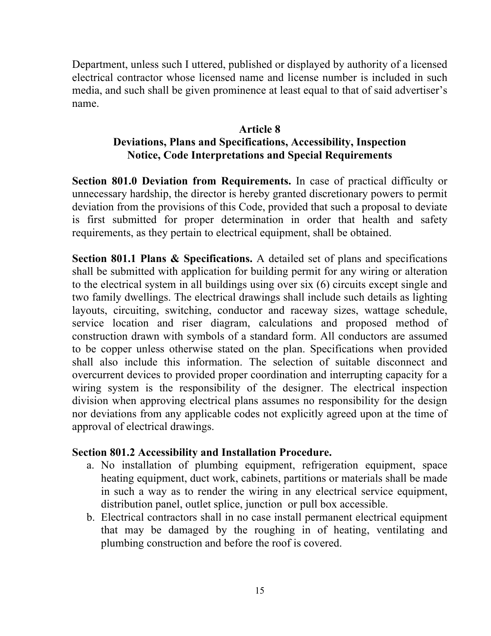Department, unless such I uttered, published or displayed by authority of a licensed electrical contractor whose licensed name and license number is included in such media, and such shall be given prominence at least equal to that of said advertiser's name.

### **Article 8 Deviations, Plans and Specifications, Accessibility, Inspection Notice, Code Interpretations and Special Requirements**

**Section 801.0 Deviation from Requirements.** In case of practical difficulty or unnecessary hardship, the director is hereby granted discretionary powers to permit deviation from the provisions of this Code, provided that such a proposal to deviate is first submitted for proper determination in order that health and safety requirements, as they pertain to electrical equipment, shall be obtained.

**Section 801.1 Plans & Specifications.** A detailed set of plans and specifications shall be submitted with application for building permit for any wiring or alteration to the electrical system in all buildings using over six (6) circuits except single and two family dwellings. The electrical drawings shall include such details as lighting layouts, circuiting, switching, conductor and raceway sizes, wattage schedule, service location and riser diagram, calculations and proposed method of construction drawn with symbols of a standard form. All conductors are assumed to be copper unless otherwise stated on the plan. Specifications when provided shall also include this information. The selection of suitable disconnect and overcurrent devices to provided proper coordination and interrupting capacity for a wiring system is the responsibility of the designer. The electrical inspection division when approving electrical plans assumes no responsibility for the design nor deviations from any applicable codes not explicitly agreed upon at the time of approval of electrical drawings.

#### **Section 801.2 Accessibility and Installation Procedure.**

- a. No installation of plumbing equipment, refrigeration equipment, space heating equipment, duct work, cabinets, partitions or materials shall be made in such a way as to render the wiring in any electrical service equipment, distribution panel, outlet splice, junction or pull box accessible.
- b. Electrical contractors shall in no case install permanent electrical equipment that may be damaged by the roughing in of heating, ventilating and plumbing construction and before the roof is covered.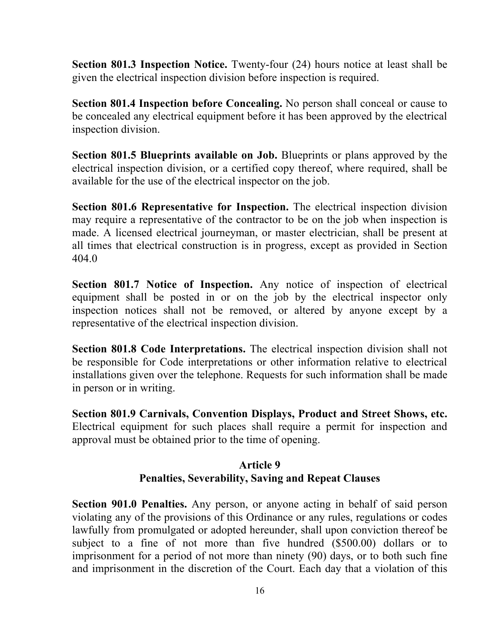**Section 801.3 Inspection Notice.** Twenty-four (24) hours notice at least shall be given the electrical inspection division before inspection is required.

**Section 801.4 Inspection before Concealing.** No person shall conceal or cause to be concealed any electrical equipment before it has been approved by the electrical inspection division.

**Section 801.5 Blueprints available on Job.** Blueprints or plans approved by the electrical inspection division, or a certified copy thereof, where required, shall be available for the use of the electrical inspector on the job.

**Section 801.6 Representative for Inspection.** The electrical inspection division may require a representative of the contractor to be on the job when inspection is made. A licensed electrical journeyman, or master electrician, shall be present at all times that electrical construction is in progress, except as provided in Section 404.0

**Section 801.7 Notice of Inspection.** Any notice of inspection of electrical equipment shall be posted in or on the job by the electrical inspector only inspection notices shall not be removed, or altered by anyone except by a representative of the electrical inspection division.

**Section 801.8 Code Interpretations.** The electrical inspection division shall not be responsible for Code interpretations or other information relative to electrical installations given over the telephone. Requests for such information shall be made in person or in writing.

**Section 801.9 Carnivals, Convention Displays, Product and Street Shows, etc.**  Electrical equipment for such places shall require a permit for inspection and approval must be obtained prior to the time of opening.

# **Article 9 Penalties, Severability, Saving and Repeat Clauses**

**Section 901.0 Penalties.** Any person, or anyone acting in behalf of said person violating any of the provisions of this Ordinance or any rules, regulations or codes lawfully from promulgated or adopted hereunder, shall upon conviction thereof be subject to a fine of not more than five hundred (\$500.00) dollars or to imprisonment for a period of not more than ninety (90) days, or to both such fine and imprisonment in the discretion of the Court. Each day that a violation of this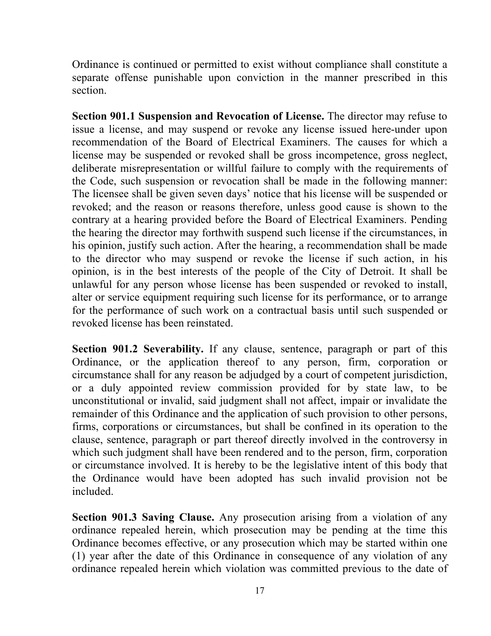Ordinance is continued or permitted to exist without compliance shall constitute a separate offense punishable upon conviction in the manner prescribed in this section.

**Section 901.1 Suspension and Revocation of License.** The director may refuse to issue a license, and may suspend or revoke any license issued here-under upon recommendation of the Board of Electrical Examiners. The causes for which a license may be suspended or revoked shall be gross incompetence, gross neglect, deliberate misrepresentation or willful failure to comply with the requirements of the Code, such suspension or revocation shall be made in the following manner: The licensee shall be given seven days' notice that his license will be suspended or revoked; and the reason or reasons therefore, unless good cause is shown to the contrary at a hearing provided before the Board of Electrical Examiners. Pending the hearing the director may forthwith suspend such license if the circumstances, in his opinion, justify such action. After the hearing, a recommendation shall be made to the director who may suspend or revoke the license if such action, in his opinion, is in the best interests of the people of the City of Detroit. It shall be unlawful for any person whose license has been suspended or revoked to install, alter or service equipment requiring such license for its performance, or to arrange for the performance of such work on a contractual basis until such suspended or revoked license has been reinstated.

**Section 901.2 Severability.** If any clause, sentence, paragraph or part of this Ordinance, or the application thereof to any person, firm, corporation or circumstance shall for any reason be adjudged by a court of competent jurisdiction, or a duly appointed review commission provided for by state law, to be unconstitutional or invalid, said judgment shall not affect, impair or invalidate the remainder of this Ordinance and the application of such provision to other persons, firms, corporations or circumstances, but shall be confined in its operation to the clause, sentence, paragraph or part thereof directly involved in the controversy in which such judgment shall have been rendered and to the person, firm, corporation or circumstance involved. It is hereby to be the legislative intent of this body that the Ordinance would have been adopted has such invalid provision not be included.

**Section 901.3 Saving Clause.** Any prosecution arising from a violation of any ordinance repealed herein, which prosecution may be pending at the time this Ordinance becomes effective, or any prosecution which may be started within one (1) year after the date of this Ordinance in consequence of any violation of any ordinance repealed herein which violation was committed previous to the date of